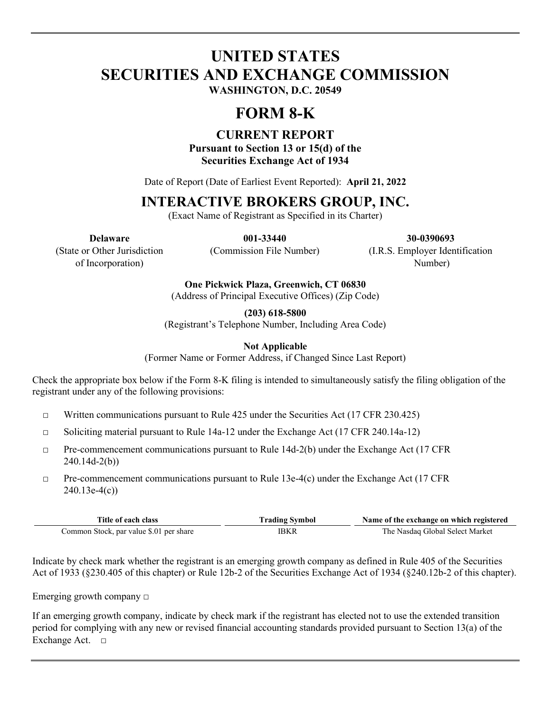# **UNITED STATES SECURITIES AND EXCHANGE COMMISSION WASHINGTON, D.C. 20549**

# **FORM 8-K**

## **CURRENT REPORT**

**Pursuant to Section 13 or 15(d) of the Securities Exchange Act of 1934**

Date of Report (Date of Earliest Event Reported): **April 21, 2022**

# **INTERACTIVE BROKERS GROUP, INC.**

(Exact Name of Registrant as Specified in its Charter)

**Delaware 001-33440 30-0390693**

(State or Other Jurisdiction of Incorporation)

(Commission File Number) (I.R.S. Employer Identification

Number)

**One Pickwick Plaza, Greenwich, CT 06830**

(Address of Principal Executive Offices) (Zip Code)

**(203) 618-5800**

(Registrant's Telephone Number, Including Area Code)

**Not Applicable**

(Former Name or Former Address, if Changed Since Last Report)

Check the appropriate box below if the Form 8-K filing is intended to simultaneously satisfy the filing obligation of the registrant under any of the following provisions:

- $\Box$  Written communications pursuant to Rule 425 under the Securities Act (17 CFR 230.425)
- $\Box$  Soliciting material pursuant to Rule 14a-12 under the Exchange Act (17 CFR 240.14a-12)
- $\Box$  Pre-commencement communications pursuant to Rule 14d-2(b) under the Exchange Act (17 CFR 240.14d-2(b))
- $\Box$  Pre-commencement communications pursuant to Rule 13e-4(c) under the Exchange Act (17 CFR  $240.13e-4(c)$

| Title of each class                     | <b>Trading Symbol</b> | Name of the exchange on which registered |  |
|-----------------------------------------|-----------------------|------------------------------------------|--|
| Common Stock, par value \$.01 per share | IBKR                  | The Nasdag Global Select Market          |  |

Indicate by check mark whether the registrant is an emerging growth company as defined in Rule 405 of the Securities Act of 1933 (§230.405 of this chapter) or Rule 12b-2 of the Securities Exchange Act of 1934 (§240.12b-2 of this chapter).

Emerging growth company  $\Box$ 

If an emerging growth company, indicate by check mark if the registrant has elected not to use the extended transition period for complying with any new or revised financial accounting standards provided pursuant to Section 13(a) of the Exchange Act. □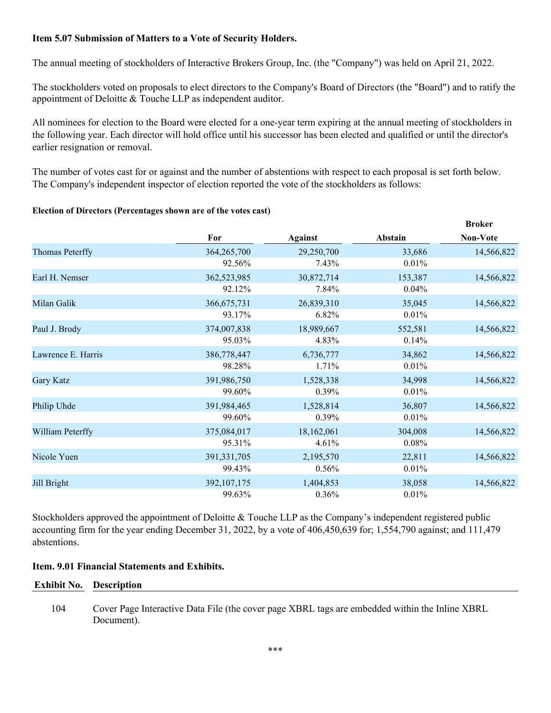### **Item 5.07 Submission of Matters to a Vote of Security Holders.**

The annual meeting of stockholders of Interactive Brokers Group, Inc. (the "Company") was held on April 21, 2022.

The stockholders voted on proposals to elect directors to the Company's Board of Directors (the "Board") and to ratify the appointment of Deloitte & Touche LLP as independent auditor.

All nominees for election to the Board were elected for a one-year term expiring at the annual meeting of stockholders in the following year. Each director will hold office until his successor has been elected and qualified or until the director's earlier resignation or removal.

The number of votes cast for or against and the number of abstentions with respect to each proposal is set forth below. The Company's independent inspector of election reported the vote of the stockholders as follows:

**Broker**

#### **Election of Directors (Percentages shown are of the votes cast)**

|                    |               |                |          | ргокег          |
|--------------------|---------------|----------------|----------|-----------------|
|                    | For           | <b>Against</b> | Abstain  | <b>Non-Vote</b> |
| Thomas Peterffy    | 364,265,700   | 29,250,700     | 33,686   | 14,566,822      |
|                    | 92.56%        | 7.43%          | 0.01%    |                 |
| Earl H. Nemser     | 362,523,985   | 30,872,714     | 153,387  | 14,566,822      |
|                    | 92.12%        | 7.84%          | 0.04%    |                 |
| Milan Galik        | 366, 675, 731 | 26,839,310     | 35,045   | 14,566,822      |
|                    | 93.17%        | 6.82%          | 0.01%    |                 |
| Paul J. Brody      | 374,007,838   | 18,989,667     | 552,581  | 14,566,822      |
|                    | 95.03%        | 4.83%          | 0.14%    |                 |
| Lawrence E. Harris | 386,778,447   | 6,736,777      | 34,862   | 14,566,822      |
|                    | 98.28%        | 1.71%          | 0.01%    |                 |
| Gary Katz          | 391,986,750   | 1,528,338      | 34,998   | 14,566,822      |
|                    | 99.60%        | 0.39%          | 0.01%    |                 |
| Philip Uhde        | 391,984,465   | 1,528,814      | 36,807   | 14,566,822      |
|                    | 99.60%        | $0.39\%$       | 0.01%    |                 |
| William Peterffy   | 375,084,017   | 18,162,061     | 304,008  | 14,566,822      |
|                    | 95.31%        | 4.61%          | $0.08\%$ |                 |
| Nicole Yuen        | 391,331,705   | 2,195,570      | 22,811   | 14,566,822      |
|                    | 99.43%        | 0.56%          | 0.01%    |                 |
| Jill Bright        | 392,107,175   | 1,404,853      | 38,058   | 14,566,822      |
|                    | 99.63%        | 0.36%          | 0.01%    |                 |

Stockholders approved the appointment of Deloitte & Touche LLP as the Company's independent registered public accounting firm for the year ending December 31, 2022, by a vote of 406,450,639 for; 1,554,790 against; and 111,479 abstentions.

### **Item. 9.01 Financial Statements and Exhibits.**

#### **Exhibit No. Description**

104 Cover Page Interactive Data File (the cover page XBRL tags are embedded within the Inline XBRL Document).